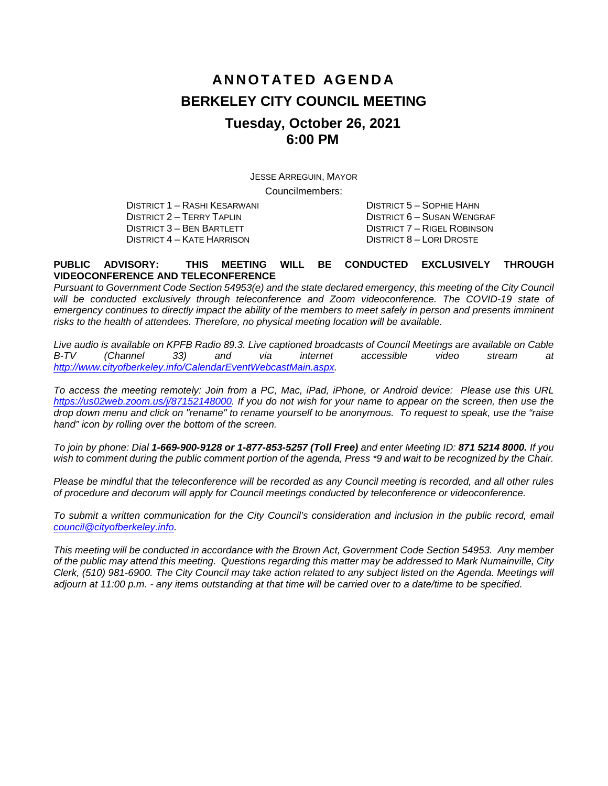# **ANNOTATED AGENDA BERKELEY CITY COUNCIL MEETING Tuesday, October 26, 2021 6:00 PM**

JESSE ARREGUIN, MAYOR Councilmembers:

DISTRICT 1 – RASHI KESARWANI DISTRICT 5 – SOPHIE HAHN DISTRICT 4 – KATE HARRISON

DISTRICT 2 – TERRY TAPLIN DISTRICT 6 – SUSAN WENGRAF DISTRICT 7 – RIGEL ROBINSON<br>DISTRICT 8 – LORI DROSTE

#### **PUBLIC ADVISORY: THIS MEETING WILL BE CONDUCTED EXCLUSIVELY THROUGH VIDEOCONFERENCE AND TELECONFERENCE**

*Pursuant to Government Code Section 54953(e) and the state declared emergency, this meeting of the City Council will be conducted exclusively through teleconference and Zoom videoconference. The COVID-19 state of emergency continues to directly impact the ability of the members to meet safely in person and presents imminent risks to the health of attendees. Therefore, no physical meeting location will be available.* 

*Live audio is available on KPFB Radio 89.3. Live captioned broadcasts of Council Meetings are available on Cable B-TV (Channel 33) and via internet accessible video stream at [http://www.cityofberkeley.info/CalendarEventWebcastMain.aspx.](http://www.cityofberkeley.info/CalendarEventWebcastMain.aspx)*

*To access the meeting remotely: Join from a PC, Mac, iPad, iPhone, or Android device: Please use this URL [https://us02web.zoom.us/j/87152148000.](https://us02web.zoom.us/j/87152148000) If you do not wish for your name to appear on the screen, then use the drop down menu and click on "rename" to rename yourself to be anonymous. To request to speak, use the "raise hand" icon by rolling over the bottom of the screen.* 

*To join by phone: Dial 1-669-900-9128 or 1-877-853-5257 (Toll Free) and enter Meeting ID: 871 5214 8000. If you*  wish to comment during the public comment portion of the agenda, Press \*9 and wait to be recognized by the Chair.

*Please be mindful that the teleconference will be recorded as any Council meeting is recorded, and all other rules of procedure and decorum will apply for Council meetings conducted by teleconference or videoconference.*

To submit a written communication for the City Council's consideration and inclusion in the public record, email *[council@cityofberkeley.info.](mailto:council@cityofberkeley.info)*

*This meeting will be conducted in accordance with the Brown Act, Government Code Section 54953. Any member of the public may attend this meeting. Questions regarding this matter may be addressed to Mark Numainville, City Clerk, (510) 981-6900. The City Council may take action related to any subject listed on the Agenda. Meetings will adjourn at 11:00 p.m. - any items outstanding at that time will be carried over to a date/time to be specified.*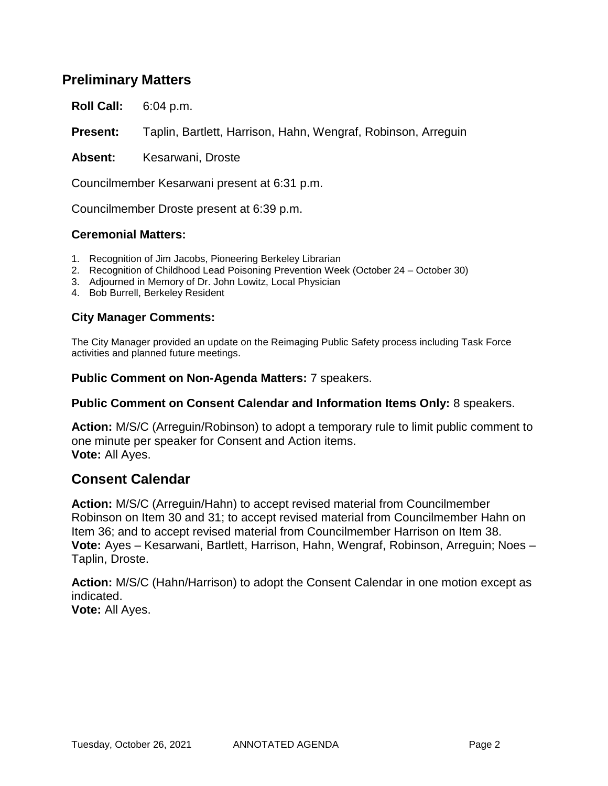## **Preliminary Matters**

**Roll Call:** 6:04 p.m.

**Present:** Taplin, Bartlett, Harrison, Hahn, Wengraf, Robinson, Arreguin

Absent: Kesarwani, Droste

Councilmember Kesarwani present at 6:31 p.m.

Councilmember Droste present at 6:39 p.m.

#### **Ceremonial Matters:**

- 1. Recognition of Jim Jacobs, Pioneering Berkeley Librarian
- 2. Recognition of Childhood Lead Poisoning Prevention Week (October 24 October 30)
- 3. Adjourned in Memory of Dr. John Lowitz, Local Physician
- 4. Bob Burrell, Berkeley Resident

## **City Manager Comments:**

The City Manager provided an update on the Reimaging Public Safety process including Task Force activities and planned future meetings.

**Public Comment on Non-Agenda Matters:** 7 speakers.

#### **Public Comment on Consent Calendar and Information Items Only:** 8 speakers.

**Action:** M/S/C (Arreguin/Robinson) to adopt a temporary rule to limit public comment to one minute per speaker for Consent and Action items. **Vote:** All Ayes.

## **Consent Calendar**

**Action:** M/S/C (Arreguin/Hahn) to accept revised material from Councilmember Robinson on Item 30 and 31; to accept revised material from Councilmember Hahn on Item 36; and to accept revised material from Councilmember Harrison on Item 38. **Vote:** Ayes – Kesarwani, Bartlett, Harrison, Hahn, Wengraf, Robinson, Arreguin; Noes – Taplin, Droste.

**Action:** M/S/C (Hahn/Harrison) to adopt the Consent Calendar in one motion except as indicated.

**Vote:** All Ayes.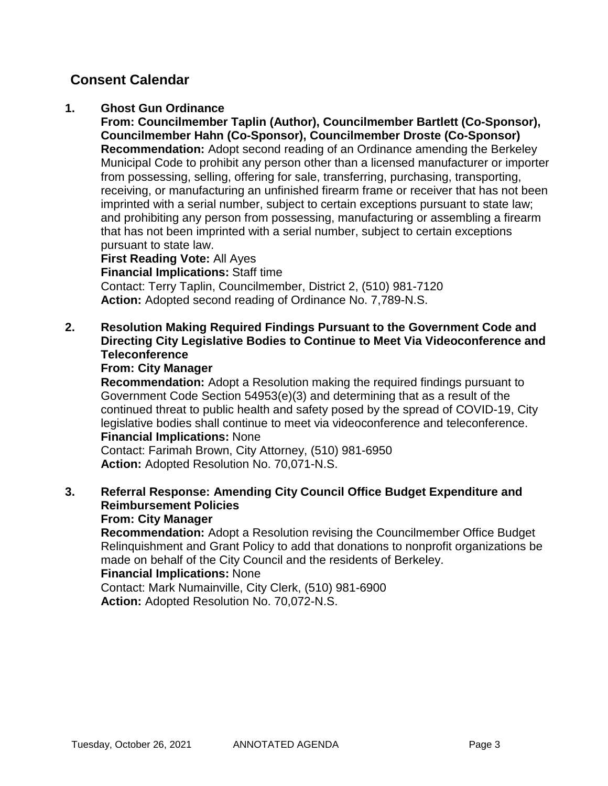## **1. Ghost Gun Ordinance**

**From: Councilmember Taplin (Author), Councilmember Bartlett (Co-Sponsor), Councilmember Hahn (Co-Sponsor), Councilmember Droste (Co-Sponsor) Recommendation:** Adopt second reading of an Ordinance amending the Berkeley Municipal Code to prohibit any person other than a licensed manufacturer or importer from possessing, selling, offering for sale, transferring, purchasing, transporting, receiving, or manufacturing an unfinished firearm frame or receiver that has not been imprinted with a serial number, subject to certain exceptions pursuant to state law; and prohibiting any person from possessing, manufacturing or assembling a firearm that has not been imprinted with a serial number, subject to certain exceptions pursuant to state law.

**First Reading Vote:** All Ayes **Financial Implications:** Staff time Contact: Terry Taplin, Councilmember, District 2, (510) 981-7120 **Action:** Adopted second reading of Ordinance No. 7,789-N.S.

## **2. Resolution Making Required Findings Pursuant to the Government Code and Directing City Legislative Bodies to Continue to Meet Via Videoconference and Teleconference**

## **From: City Manager**

**Recommendation:** Adopt a Resolution making the required findings pursuant to Government Code Section 54953(e)(3) and determining that as a result of the continued threat to public health and safety posed by the spread of COVID-19, City legislative bodies shall continue to meet via videoconference and teleconference. **Financial Implications:** None

Contact: Farimah Brown, City Attorney, (510) 981-6950 **Action:** Adopted Resolution No. 70,071-N.S.

#### **3. Referral Response: Amending City Council Office Budget Expenditure and Reimbursement Policies From: City Manager**

**Recommendation:** Adopt a Resolution revising the Councilmember Office Budget Relinquishment and Grant Policy to add that donations to nonprofit organizations be made on behalf of the City Council and the residents of Berkeley.

## **Financial Implications:** None

Contact: Mark Numainville, City Clerk, (510) 981-6900 **Action:** Adopted Resolution No. 70,072-N.S.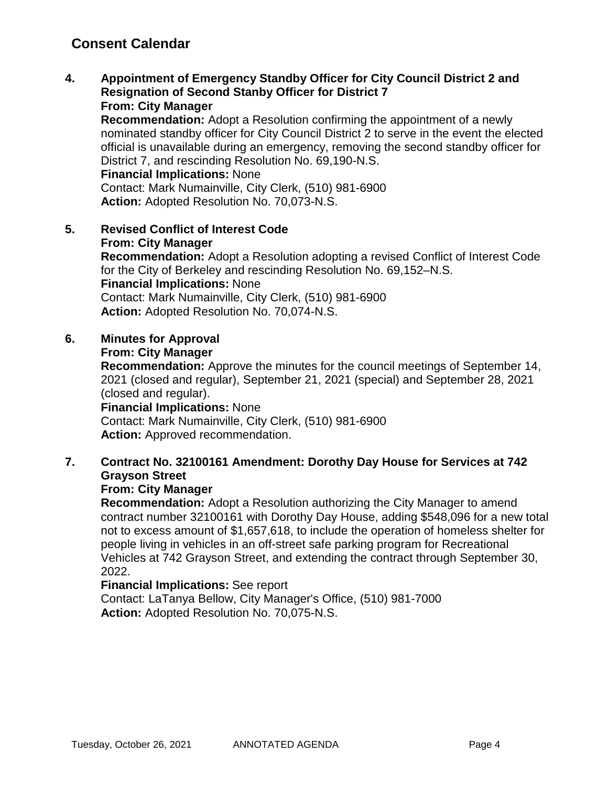**4. Appointment of Emergency Standby Officer for City Council District 2 and Resignation of Second Stanby Officer for District 7 From: City Manager**

**Recommendation:** Adopt a Resolution confirming the appointment of a newly nominated standby officer for City Council District 2 to serve in the event the elected official is unavailable during an emergency, removing the second standby officer for District 7, and rescinding Resolution No. 69,190-N.S.

**Financial Implications:** None

Contact: Mark Numainville, City Clerk, (510) 981-6900 **Action:** Adopted Resolution No. 70,073-N.S.

**5. Revised Conflict of Interest Code From: City Manager Recommendation:** Adopt a Resolution adopting a revised Conflict of Interest Code for the City of Berkeley and rescinding Resolution No. 69,152–N.S. **Financial Implications:** None Contact: Mark Numainville, City Clerk, (510) 981-6900 **Action:** Adopted Resolution No. 70,074-N.S.

## **6. Minutes for Approval**

## **From: City Manager**

**Recommendation:** Approve the minutes for the council meetings of September 14, 2021 (closed and regular), September 21, 2021 (special) and September 28, 2021 (closed and regular).

## **Financial Implications:** None

Contact: Mark Numainville, City Clerk, (510) 981-6900 **Action:** Approved recommendation.

## **7. Contract No. 32100161 Amendment: Dorothy Day House for Services at 742 Grayson Street**

## **From: City Manager**

**Recommendation:** Adopt a Resolution authorizing the City Manager to amend contract number 32100161 with Dorothy Day House, adding \$548,096 for a new total not to excess amount of \$1,657,618, to include the operation of homeless shelter for people living in vehicles in an off-street safe parking program for Recreational Vehicles at 742 Grayson Street, and extending the contract through September 30, 2022.

## **Financial Implications:** See report

Contact: LaTanya Bellow, City Manager's Office, (510) 981-7000 **Action:** Adopted Resolution No. 70,075-N.S.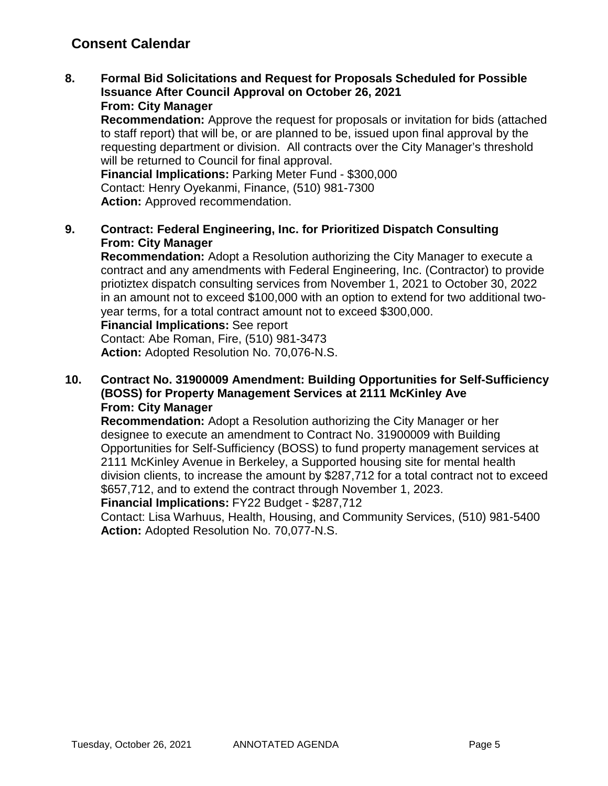**8. Formal Bid Solicitations and Request for Proposals Scheduled for Possible Issuance After Council Approval on October 26, 2021 From: City Manager**

**Recommendation:** Approve the request for proposals or invitation for bids (attached to staff report) that will be, or are planned to be, issued upon final approval by the requesting department or division. All contracts over the City Manager's threshold will be returned to Council for final approval.

**Financial Implications:** Parking Meter Fund - \$300,000 Contact: Henry Oyekanmi, Finance, (510) 981-7300 **Action:** Approved recommendation.

**9. Contract: Federal Engineering, Inc. for Prioritized Dispatch Consulting From: City Manager**

**Recommendation:** Adopt a Resolution authorizing the City Manager to execute a contract and any amendments with Federal Engineering, Inc. (Contractor) to provide priotiztex dispatch consulting services from November 1, 2021 to October 30, 2022 in an amount not to exceed \$100,000 with an option to extend for two additional twoyear terms, for a total contract amount not to exceed \$300,000.

**Financial Implications:** See report

Contact: Abe Roman, Fire, (510) 981-3473 **Action:** Adopted Resolution No. 70,076-N.S.

**10. Contract No. 31900009 Amendment: Building Opportunities for Self-Sufficiency (BOSS) for Property Management Services at 2111 McKinley Ave From: City Manager**

**Recommendation:** Adopt a Resolution authorizing the City Manager or her designee to execute an amendment to Contract No. 31900009 with Building Opportunities for Self-Sufficiency (BOSS) to fund property management services at 2111 McKinley Avenue in Berkeley, a Supported housing site for mental health division clients, to increase the amount by \$287,712 for a total contract not to exceed \$657,712, and to extend the contract through November 1, 2023.

**Financial Implications:** FY22 Budget - \$287,712

Contact: Lisa Warhuus, Health, Housing, and Community Services, (510) 981-5400 **Action:** Adopted Resolution No. 70,077-N.S.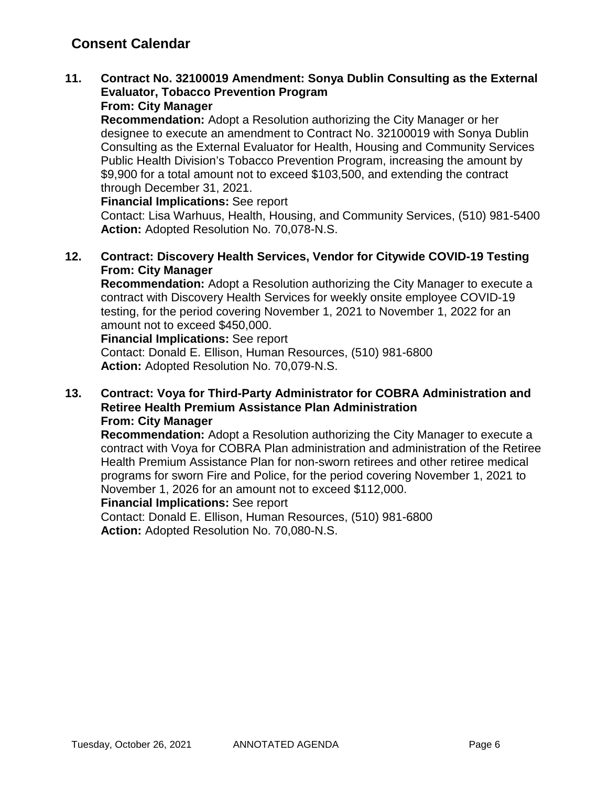# **11. Contract No. 32100019 Amendment: Sonya Dublin Consulting as the External Evaluator, Tobacco Prevention Program**

# **From: City Manager**

**Recommendation:** Adopt a Resolution authorizing the City Manager or her designee to execute an amendment to Contract No. 32100019 with Sonya Dublin Consulting as the External Evaluator for Health, Housing and Community Services Public Health Division's Tobacco Prevention Program, increasing the amount by \$9,900 for a total amount not to exceed \$103,500, and extending the contract through December 31, 2021.

#### **Financial Implications:** See report

Contact: Lisa Warhuus, Health, Housing, and Community Services, (510) 981-5400 **Action:** Adopted Resolution No. 70,078-N.S.

## **12. Contract: Discovery Health Services, Vendor for Citywide COVID-19 Testing From: City Manager**

**Recommendation:** Adopt a Resolution authorizing the City Manager to execute a contract with Discovery Health Services for weekly onsite employee COVID-19 testing, for the period covering November 1, 2021 to November 1, 2022 for an amount not to exceed \$450,000.

#### **Financial Implications:** See report

Contact: Donald E. Ellison, Human Resources, (510) 981-6800 **Action:** Adopted Resolution No. 70,079-N.S.

#### **13. Contract: Voya for Third-Party Administrator for COBRA Administration and Retiree Health Premium Assistance Plan Administration From: City Manager**

**Recommendation:** Adopt a Resolution authorizing the City Manager to execute a contract with Voya for COBRA Plan administration and administration of the Retiree Health Premium Assistance Plan for non-sworn retirees and other retiree medical programs for sworn Fire and Police, for the period covering November 1, 2021 to November 1, 2026 for an amount not to exceed \$112,000.

## **Financial Implications:** See report

Contact: Donald E. Ellison, Human Resources, (510) 981-6800 **Action:** Adopted Resolution No. 70,080-N.S.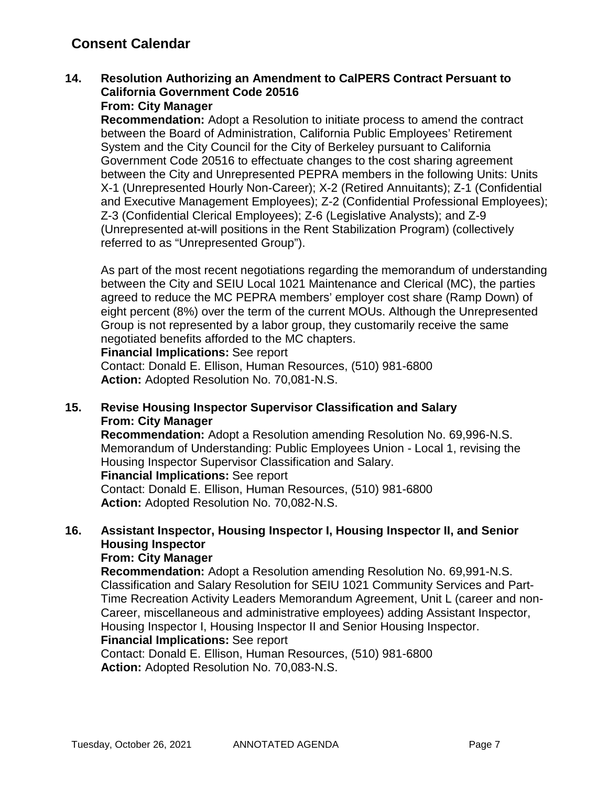## **14. Resolution Authorizing an Amendment to CalPERS Contract Persuant to California Government Code 20516**

## **From: City Manager**

**Recommendation:** Adopt a Resolution to initiate process to amend the contract between the Board of Administration, California Public Employees' Retirement System and the City Council for the City of Berkeley pursuant to California Government Code 20516 to effectuate changes to the cost sharing agreement between the City and Unrepresented PEPRA members in the following Units: Units X-1 (Unrepresented Hourly Non-Career); X-2 (Retired Annuitants); Z-1 (Confidential and Executive Management Employees); Z-2 (Confidential Professional Employees); Z-3 (Confidential Clerical Employees); Z-6 (Legislative Analysts); and Z-9 (Unrepresented at-will positions in the Rent Stabilization Program) (collectively referred to as "Unrepresented Group").

As part of the most recent negotiations regarding the memorandum of understanding between the City and SEIU Local 1021 Maintenance and Clerical (MC), the parties agreed to reduce the MC PEPRA members' employer cost share (Ramp Down) of eight percent (8%) over the term of the current MOUs. Although the Unrepresented Group is not represented by a labor group, they customarily receive the same negotiated benefits afforded to the MC chapters.

#### **Financial Implications:** See report

Contact: Donald E. Ellison, Human Resources, (510) 981-6800 **Action:** Adopted Resolution No. 70,081-N.S.

## **15. Revise Housing Inspector Supervisor Classification and Salary From: City Manager**

**Recommendation:** Adopt a Resolution amending Resolution No. 69,996-N.S. Memorandum of Understanding: Public Employees Union - Local 1, revising the Housing Inspector Supervisor Classification and Salary.

#### **Financial Implications:** See report

Contact: Donald E. Ellison, Human Resources, (510) 981-6800 **Action:** Adopted Resolution No. 70,082-N.S.

## **16. Assistant Inspector, Housing Inspector I, Housing Inspector II, and Senior Housing Inspector**

#### **From: City Manager**

**Recommendation:** Adopt a Resolution amending Resolution No. 69,991-N.S. Classification and Salary Resolution for SEIU 1021 Community Services and Part-Time Recreation Activity Leaders Memorandum Agreement, Unit L (career and non-Career, miscellaneous and administrative employees) adding Assistant Inspector, Housing Inspector I, Housing Inspector II and Senior Housing Inspector. **Financial Implications:** See report

Contact: Donald E. Ellison, Human Resources, (510) 981-6800 **Action:** Adopted Resolution No. 70,083-N.S.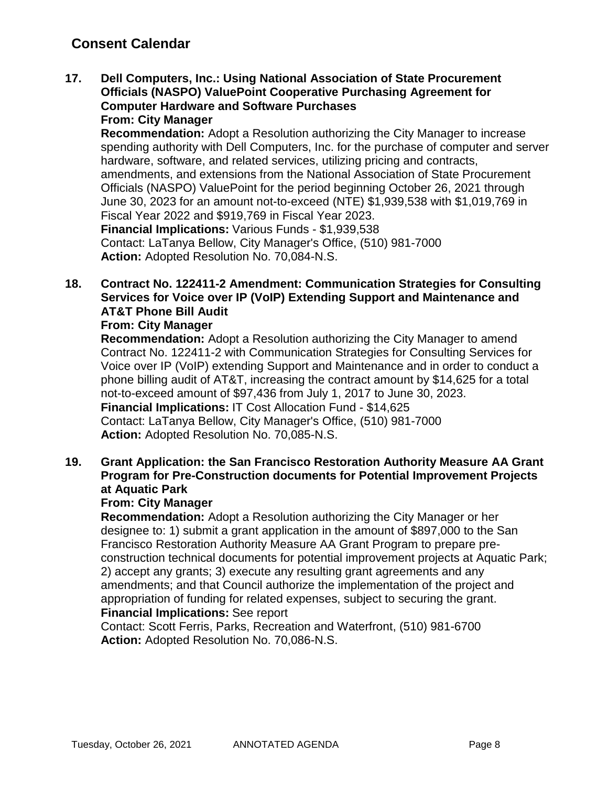**17. Dell Computers, Inc.: Using National Association of State Procurement Officials (NASPO) ValuePoint Cooperative Purchasing Agreement for Computer Hardware and Software Purchases From: City Manager**

**Recommendation:** Adopt a Resolution authorizing the City Manager to increase spending authority with Dell Computers, Inc. for the purchase of computer and server hardware, software, and related services, utilizing pricing and contracts, amendments, and extensions from the National Association of State Procurement Officials (NASPO) ValuePoint for the period beginning October 26, 2021 through June 30, 2023 for an amount not-to-exceed (NTE) \$1,939,538 with \$1,019,769 in Fiscal Year 2022 and \$919,769 in Fiscal Year 2023. **Financial Implications:** Various Funds - \$1,939,538

Contact: LaTanya Bellow, City Manager's Office, (510) 981-7000 **Action:** Adopted Resolution No. 70,084-N.S.

## **18. Contract No. 122411-2 Amendment: Communication Strategies for Consulting Services for Voice over IP (VoIP) Extending Support and Maintenance and AT&T Phone Bill Audit**

## **From: City Manager**

**Recommendation:** Adopt a Resolution authorizing the City Manager to amend Contract No. 122411-2 with Communication Strategies for Consulting Services for Voice over IP (VoIP) extending Support and Maintenance and in order to conduct a phone billing audit of AT&T, increasing the contract amount by \$14,625 for a total not-to-exceed amount of \$97,436 from July 1, 2017 to June 30, 2023. **Financial Implications:** IT Cost Allocation Fund - \$14,625 Contact: LaTanya Bellow, City Manager's Office, (510) 981-7000 **Action:** Adopted Resolution No. 70,085-N.S.

## **19. Grant Application: the San Francisco Restoration Authority Measure AA Grant Program for Pre-Construction documents for Potential Improvement Projects at Aquatic Park**

### **From: City Manager**

**Recommendation:** Adopt a Resolution authorizing the City Manager or her designee to: 1) submit a grant application in the amount of \$897,000 to the San Francisco Restoration Authority Measure AA Grant Program to prepare preconstruction technical documents for potential improvement projects at Aquatic Park; 2) accept any grants; 3) execute any resulting grant agreements and any amendments; and that Council authorize the implementation of the project and appropriation of funding for related expenses, subject to securing the grant.

### **Financial Implications:** See report

Contact: Scott Ferris, Parks, Recreation and Waterfront, (510) 981-6700 **Action:** Adopted Resolution No. 70,086-N.S.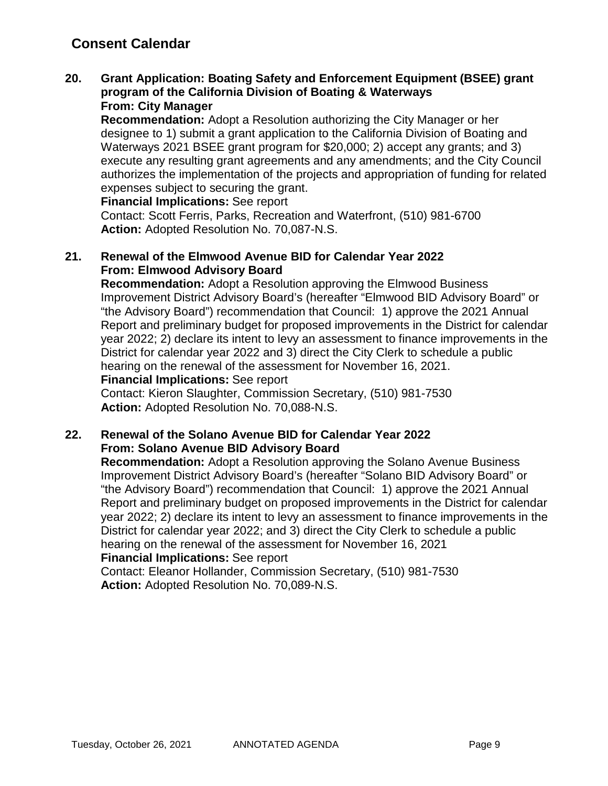#### **20. Grant Application: Boating Safety and Enforcement Equipment (BSEE) grant program of the California Division of Boating & Waterways From: City Manager**

**Recommendation:** Adopt a Resolution authorizing the City Manager or her designee to 1) submit a grant application to the California Division of Boating and Waterways 2021 BSEE grant program for \$20,000; 2) accept any grants; and 3) execute any resulting grant agreements and any amendments; and the City Council authorizes the implementation of the projects and appropriation of funding for related expenses subject to securing the grant.

**Financial Implications:** See report

Contact: Scott Ferris, Parks, Recreation and Waterfront, (510) 981-6700 **Action:** Adopted Resolution No. 70,087-N.S.

## **21. Renewal of the Elmwood Avenue BID for Calendar Year 2022 From: Elmwood Advisory Board**

**Recommendation:** Adopt a Resolution approving the Elmwood Business Improvement District Advisory Board's (hereafter "Elmwood BID Advisory Board" or "the Advisory Board") recommendation that Council: 1) approve the 2021 Annual Report and preliminary budget for proposed improvements in the District for calendar year 2022; 2) declare its intent to levy an assessment to finance improvements in the District for calendar year 2022 and 3) direct the City Clerk to schedule a public hearing on the renewal of the assessment for November 16, 2021.

#### **Financial Implications:** See report

Contact: Kieron Slaughter, Commission Secretary, (510) 981-7530 **Action:** Adopted Resolution No. 70,088-N.S.

## **22. Renewal of the Solano Avenue BID for Calendar Year 2022 From: Solano Avenue BID Advisory Board**

**Recommendation:** Adopt a Resolution approving the Solano Avenue Business Improvement District Advisory Board's (hereafter "Solano BID Advisory Board" or "the Advisory Board") recommendation that Council: 1) approve the 2021 Annual Report and preliminary budget on proposed improvements in the District for calendar year 2022; 2) declare its intent to levy an assessment to finance improvements in the District for calendar year 2022; and 3) direct the City Clerk to schedule a public hearing on the renewal of the assessment for November 16, 2021 **Financial Implications:** See report

Contact: Eleanor Hollander, Commission Secretary, (510) 981-7530 **Action:** Adopted Resolution No. 70,089-N.S.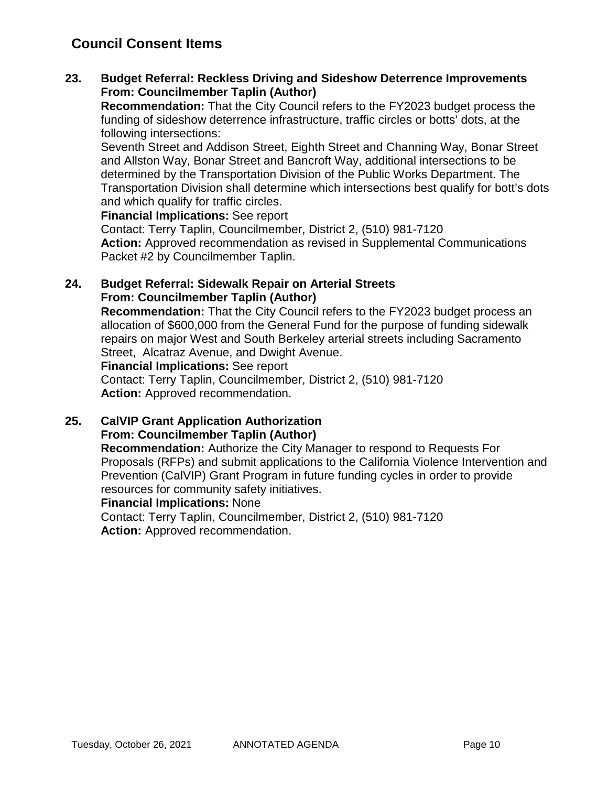## **Council Consent Items**

## **23. Budget Referral: Reckless Driving and Sideshow Deterrence Improvements From: Councilmember Taplin (Author)**

**Recommendation:** That the City Council refers to the FY2023 budget process the funding of sideshow deterrence infrastructure, traffic circles or botts' dots, at the following intersections:

Seventh Street and Addison Street, Eighth Street and Channing Way, Bonar Street and Allston Way, Bonar Street and Bancroft Way, additional intersections to be determined by the Transportation Division of the Public Works Department. The Transportation Division shall determine which intersections best qualify for bott's dots and which qualify for traffic circles.

**Financial Implications:** See report

Contact: Terry Taplin, Councilmember, District 2, (510) 981-7120 **Action:** Approved recommendation as revised in Supplemental Communications Packet #2 by Councilmember Taplin.

## **24. Budget Referral: Sidewalk Repair on Arterial Streets From: Councilmember Taplin (Author)**

**Recommendation:** That the City Council refers to the FY2023 budget process an allocation of \$600,000 from the General Fund for the purpose of funding sidewalk repairs on major West and South Berkeley arterial streets including Sacramento Street, Alcatraz Avenue, and Dwight Avenue.

**Financial Implications:** See report

Contact: Terry Taplin, Councilmember, District 2, (510) 981-7120 **Action:** Approved recommendation.

## **25. CalVIP Grant Application Authorization From: Councilmember Taplin (Author)**

**Recommendation:** Authorize the City Manager to respond to Requests For Proposals (RFPs) and submit applications to the California Violence Intervention and Prevention (CalVIP) Grant Program in future funding cycles in order to provide resources for community safety initiatives.

## **Financial Implications:** None

Contact: Terry Taplin, Councilmember, District 2, (510) 981-7120 **Action:** Approved recommendation.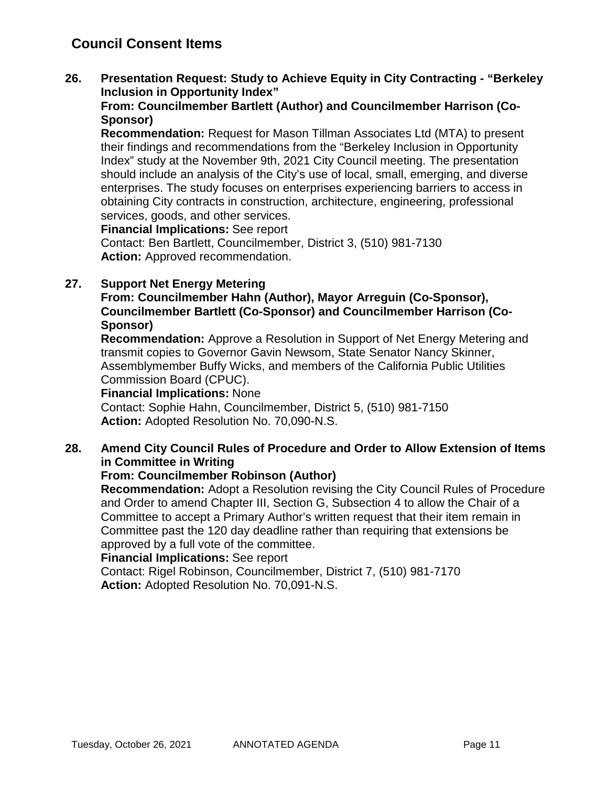## **Council Consent Items**

**26. Presentation Request: Study to Achieve Equity in City Contracting - "Berkeley Inclusion in Opportunity Index"**

## **From: Councilmember Bartlett (Author) and Councilmember Harrison (Co-Sponsor)**

**Recommendation:** Request for Mason Tillman Associates Ltd (MTA) to present their findings and recommendations from the "Berkeley Inclusion in Opportunity Index" study at the November 9th, 2021 City Council meeting. The presentation should include an analysis of the City's use of local, small, emerging, and diverse enterprises. The study focuses on enterprises experiencing barriers to access in obtaining City contracts in construction, architecture, engineering, professional services, goods, and other services.

**Financial Implications:** See report Contact: Ben Bartlett, Councilmember, District 3, (510) 981-7130 **Action:** Approved recommendation.

## **27. Support Net Energy Metering**

## **From: Councilmember Hahn (Author), Mayor Arreguin (Co-Sponsor), Councilmember Bartlett (Co-Sponsor) and Councilmember Harrison (Co-Sponsor)**

**Recommendation:** Approve a Resolution in Support of Net Energy Metering and transmit copies to Governor Gavin Newsom, State Senator Nancy Skinner, Assemblymember Buffy Wicks, and members of the California Public Utilities Commission Board (CPUC).

#### **Financial Implications:** None

Contact: Sophie Hahn, Councilmember, District 5, (510) 981-7150 **Action:** Adopted Resolution No. 70,090-N.S.

## **28. Amend City Council Rules of Procedure and Order to Allow Extension of Items in Committee in Writing**

## **From: Councilmember Robinson (Author)**

**Recommendation:** Adopt a Resolution revising the City Council Rules of Procedure and Order to amend Chapter III, Section G, Subsection 4 to allow the Chair of a Committee to accept a Primary Author's written request that their item remain in Committee past the 120 day deadline rather than requiring that extensions be approved by a full vote of the committee.

## **Financial Implications:** See report

Contact: Rigel Robinson, Councilmember, District 7, (510) 981-7170 **Action:** Adopted Resolution No. 70,091-N.S.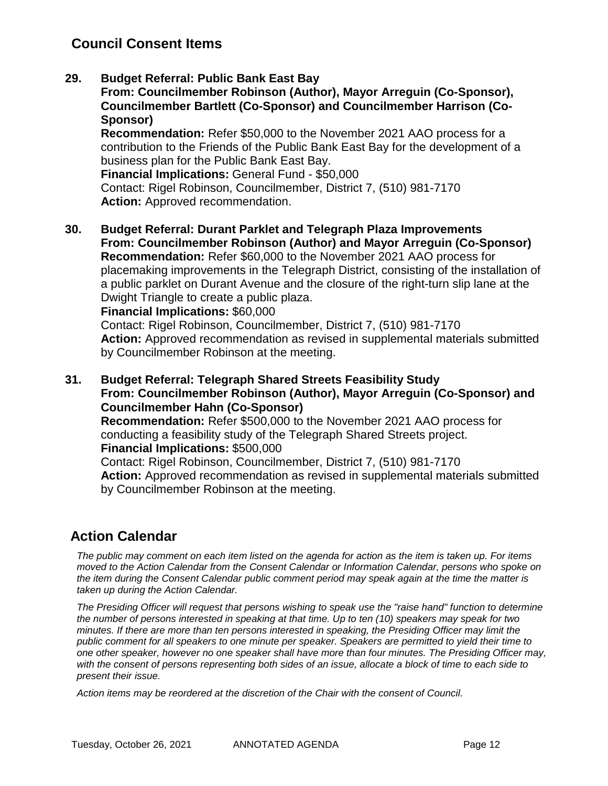## **Council Consent Items**

## **29. Budget Referral: Public Bank East Bay**

**From: Councilmember Robinson (Author), Mayor Arreguin (Co-Sponsor), Councilmember Bartlett (Co-Sponsor) and Councilmember Harrison (Co-Sponsor)**

**Recommendation:** Refer \$50,000 to the November 2021 AAO process for a contribution to the Friends of the Public Bank East Bay for the development of a business plan for the Public Bank East Bay.

**Financial Implications:** General Fund - \$50,000 Contact: Rigel Robinson, Councilmember, District 7, (510) 981-7170 **Action:** Approved recommendation.

**30. Budget Referral: Durant Parklet and Telegraph Plaza Improvements From: Councilmember Robinson (Author) and Mayor Arreguin (Co-Sponsor) Recommendation:** Refer \$60,000 to the November 2021 AAO process for placemaking improvements in the Telegraph District, consisting of the installation of a public parklet on Durant Avenue and the closure of the right-turn slip lane at the Dwight Triangle to create a public plaza.

**Financial Implications:** \$60,000

Contact: Rigel Robinson, Councilmember, District 7, (510) 981-7170 **Action:** Approved recommendation as revised in supplemental materials submitted by Councilmember Robinson at the meeting.

**31. Budget Referral: Telegraph Shared Streets Feasibility Study From: Councilmember Robinson (Author), Mayor Arreguin (Co-Sponsor) and Councilmember Hahn (Co-Sponsor) Recommendation:** Refer \$500,000 to the November 2021 AAO process for conducting a feasibility study of the Telegraph Shared Streets project. **Financial Implications:** \$500,000 Contact: Rigel Robinson, Councilmember, District 7, (510) 981-7170 **Action:** Approved recommendation as revised in supplemental materials submitted by Councilmember Robinson at the meeting.

## **Action Calendar**

*The public may comment on each item listed on the agenda for action as the item is taken up. For items moved to the Action Calendar from the Consent Calendar or Information Calendar, persons who spoke on the item during the Consent Calendar public comment period may speak again at the time the matter is taken up during the Action Calendar.*

*The Presiding Officer will request that persons wishing to speak use the "raise hand" function to determine the number of persons interested in speaking at that time. Up to ten (10) speakers may speak for two minutes. If there are more than ten persons interested in speaking, the Presiding Officer may limit the public comment for all speakers to one minute per speaker. Speakers are permitted to yield their time to one other speaker, however no one speaker shall have more than four minutes. The Presiding Officer may, with the consent of persons representing both sides of an issue, allocate a block of time to each side to present their issue.*

*Action items may be reordered at the discretion of the Chair with the consent of Council.*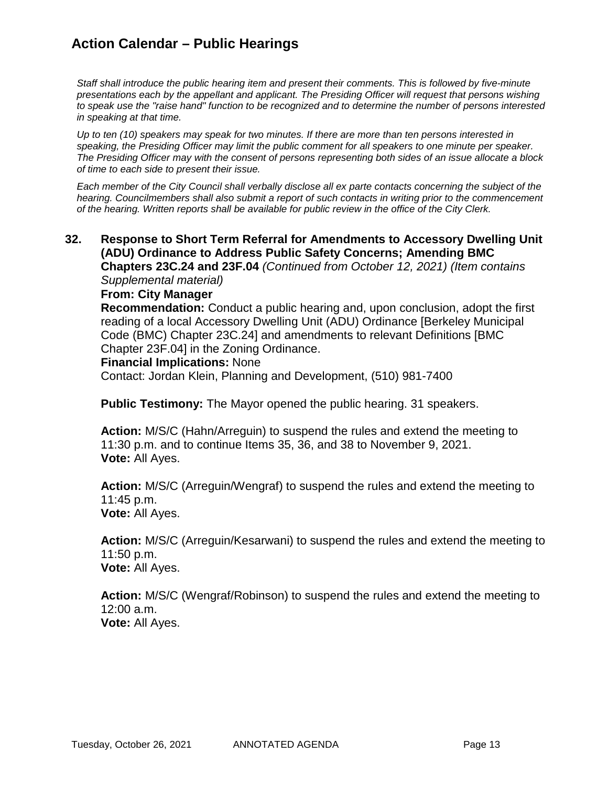## **Action Calendar – Public Hearings**

*Staff shall introduce the public hearing item and present their comments. This is followed by five-minute presentations each by the appellant and applicant. The Presiding Officer will request that persons wishing to speak use the "raise hand" function to be recognized and to determine the number of persons interested in speaking at that time.*

*Up to ten (10) speakers may speak for two minutes. If there are more than ten persons interested in speaking, the Presiding Officer may limit the public comment for all speakers to one minute per speaker. The Presiding Officer may with the consent of persons representing both sides of an issue allocate a block of time to each side to present their issue.*

*Each member of the City Council shall verbally disclose all ex parte contacts concerning the subject of the hearing. Councilmembers shall also submit a report of such contacts in writing prior to the commencement of the hearing. Written reports shall be available for public review in the office of the City Clerk.*

**32. Response to Short Term Referral for Amendments to Accessory Dwelling Unit (ADU) Ordinance to Address Public Safety Concerns; Amending BMC Chapters 23C.24 and 23F.04** *(Continued from October 12, 2021) (Item contains* 

*Supplemental material)*

#### **From: City Manager**

**Recommendation:** Conduct a public hearing and, upon conclusion, adopt the first reading of a local Accessory Dwelling Unit (ADU) Ordinance [Berkeley Municipal Code (BMC) Chapter 23C.24] and amendments to relevant Definitions [BMC Chapter 23F.04] in the Zoning Ordinance.

#### **Financial Implications:** None

Contact: Jordan Klein, Planning and Development, (510) 981-7400

**Public Testimony:** The Mayor opened the public hearing. 31 speakers.

**Action:** M/S/C (Hahn/Arreguin) to suspend the rules and extend the meeting to 11:30 p.m. and to continue Items 35, 36, and 38 to November 9, 2021. **Vote:** All Ayes.

**Action:** M/S/C (Arreguin/Wengraf) to suspend the rules and extend the meeting to 11:45 p.m. **Vote:** All Ayes.

**Action:** M/S/C (Arreguin/Kesarwani) to suspend the rules and extend the meeting to 11:50 p.m. **Vote:** All Ayes.

**Action:** M/S/C (Wengraf/Robinson) to suspend the rules and extend the meeting to 12:00 a.m. **Vote:** All Ayes.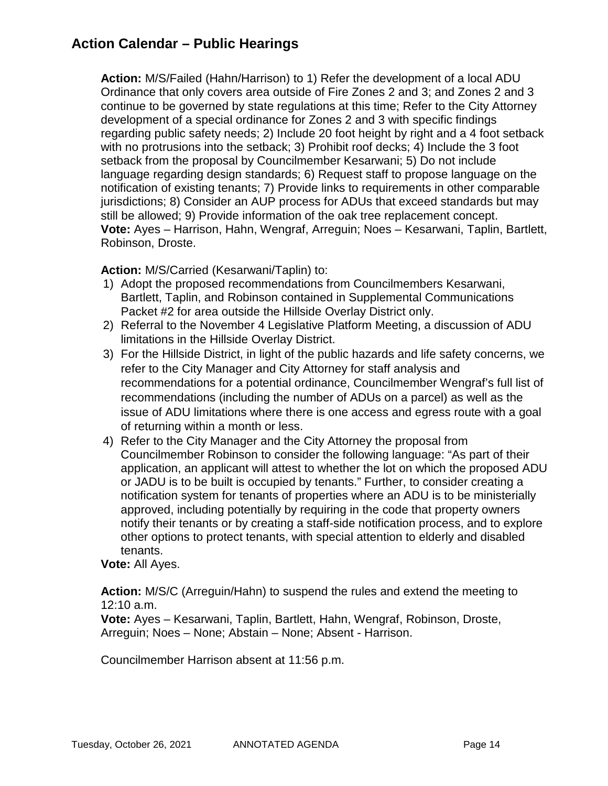## **Action Calendar – Public Hearings**

**Action:** M/S/Failed (Hahn/Harrison) to 1) Refer the development of a local ADU Ordinance that only covers area outside of Fire Zones 2 and 3; and Zones 2 and 3 continue to be governed by state regulations at this time; Refer to the City Attorney development of a special ordinance for Zones 2 and 3 with specific findings regarding public safety needs; 2) Include 20 foot height by right and a 4 foot setback with no protrusions into the setback; 3) Prohibit roof decks; 4) Include the 3 foot setback from the proposal by Councilmember Kesarwani; 5) Do not include language regarding design standards; 6) Request staff to propose language on the notification of existing tenants; 7) Provide links to requirements in other comparable jurisdictions; 8) Consider an AUP process for ADUs that exceed standards but may still be allowed; 9) Provide information of the oak tree replacement concept. **Vote:** Ayes – Harrison, Hahn, Wengraf, Arreguin; Noes – Kesarwani, Taplin, Bartlett, Robinson, Droste.

## **Action:** M/S/Carried (Kesarwani/Taplin) to:

- 1) Adopt the proposed recommendations from Councilmembers Kesarwani, Bartlett, Taplin, and Robinson contained in Supplemental Communications Packet #2 for area outside the Hillside Overlay District only.
- 2) Referral to the November 4 Legislative Platform Meeting, a discussion of ADU limitations in the Hillside Overlay District.
- 3) For the Hillside District, in light of the public hazards and life safety concerns, we refer to the City Manager and City Attorney for staff analysis and recommendations for a potential ordinance, Councilmember Wengraf's full list of recommendations (including the number of ADUs on a parcel) as well as the issue of ADU limitations where there is one access and egress route with a goal of returning within a month or less.
- 4) Refer to the City Manager and the City Attorney the proposal from Councilmember Robinson to consider the following language: "As part of their application, an applicant will attest to whether the lot on which the proposed ADU or JADU is to be built is occupied by tenants." Further, to consider creating a notification system for tenants of properties where an ADU is to be ministerially approved, including potentially by requiring in the code that property owners notify their tenants or by creating a staff-side notification process, and to explore other options to protect tenants, with special attention to elderly and disabled tenants.

## **Vote:** All Ayes.

**Action:** M/S/C (Arreguin/Hahn) to suspend the rules and extend the meeting to 12:10 a.m.

**Vote:** Ayes – Kesarwani, Taplin, Bartlett, Hahn, Wengraf, Robinson, Droste, Arreguin; Noes – None; Abstain – None; Absent - Harrison.

Councilmember Harrison absent at 11:56 p.m.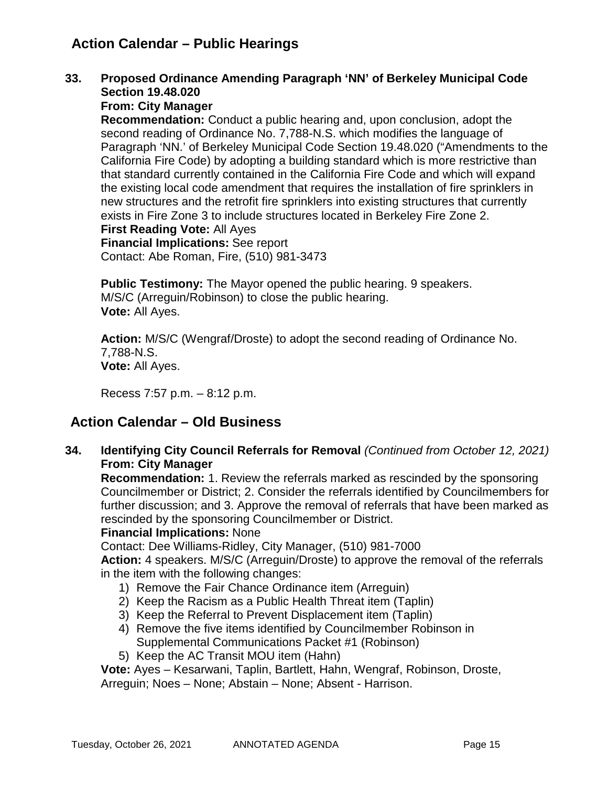## **Action Calendar – Public Hearings**

**33. Proposed Ordinance Amending Paragraph 'NN' of Berkeley Municipal Code Section 19.48.020**

## **From: City Manager**

**Recommendation:** Conduct a public hearing and, upon conclusion, adopt the second reading of Ordinance No. 7,788-N.S. which modifies the language of Paragraph 'NN.' of Berkeley Municipal Code Section 19.48.020 ("Amendments to the California Fire Code) by adopting a building standard which is more restrictive than that standard currently contained in the California Fire Code and which will expand the existing local code amendment that requires the installation of fire sprinklers in new structures and the retrofit fire sprinklers into existing structures that currently exists in Fire Zone 3 to include structures located in Berkeley Fire Zone 2. **First Reading Vote:** All Ayes **Financial Implications:** See report

Contact: Abe Roman, Fire, (510) 981-3473

**Public Testimony:** The Mayor opened the public hearing. 9 speakers. M/S/C (Arreguin/Robinson) to close the public hearing. **Vote:** All Ayes.

**Action:** M/S/C (Wengraf/Droste) to adopt the second reading of Ordinance No. 7,788-N.S. **Vote:** All Ayes.

Recess 7:57 p.m. – 8:12 p.m.

## **Action Calendar – Old Business**

**34. Identifying City Council Referrals for Removal** *(Continued from October 12, 2021)* **From: City Manager**

**Recommendation:** 1. Review the referrals marked as rescinded by the sponsoring Councilmember or District; 2. Consider the referrals identified by Councilmembers for further discussion; and 3. Approve the removal of referrals that have been marked as rescinded by the sponsoring Councilmember or District.

## **Financial Implications:** None

Contact: Dee Williams-Ridley, City Manager, (510) 981-7000

**Action:** 4 speakers. M/S/C (Arreguin/Droste) to approve the removal of the referrals in the item with the following changes:

- 1) Remove the Fair Chance Ordinance item (Arreguin)
- 2) Keep the Racism as a Public Health Threat item (Taplin)
- 3) Keep the Referral to Prevent Displacement item (Taplin)
- 4) Remove the five items identified by Councilmember Robinson in Supplemental Communications Packet #1 (Robinson)
- 5) Keep the AC Transit MOU item (Hahn)

**Vote:** Ayes – Kesarwani, Taplin, Bartlett, Hahn, Wengraf, Robinson, Droste, Arreguin; Noes – None; Abstain – None; Absent - Harrison.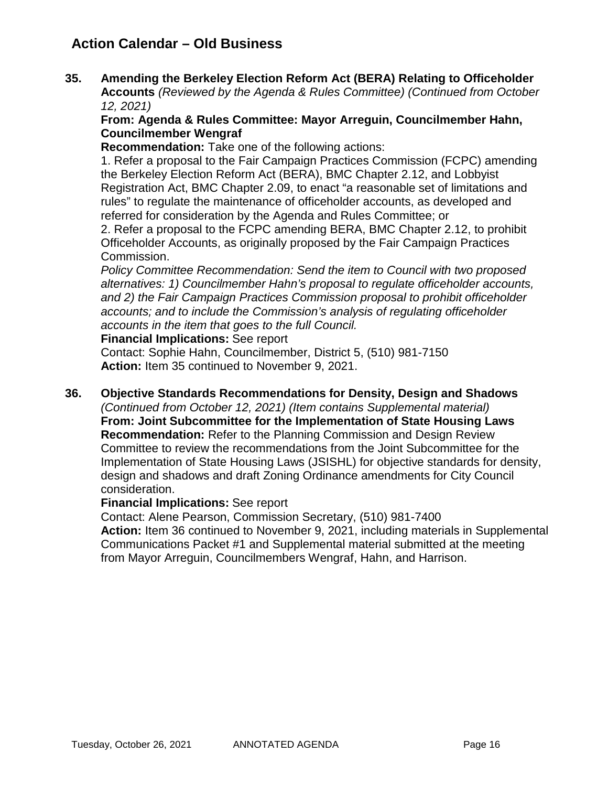## **Action Calendar – Old Business**

**35. Amending the Berkeley Election Reform Act (BERA) Relating to Officeholder Accounts** *(Reviewed by the Agenda & Rules Committee) (Continued from October 12, 2021)*

## **From: Agenda & Rules Committee: Mayor Arreguin, Councilmember Hahn, Councilmember Wengraf**

**Recommendation:** Take one of the following actions:

1. Refer a proposal to the Fair Campaign Practices Commission (FCPC) amending the Berkeley Election Reform Act (BERA), BMC Chapter 2.12, and Lobbyist Registration Act, BMC Chapter 2.09, to enact "a reasonable set of limitations and rules" to regulate the maintenance of officeholder accounts, as developed and referred for consideration by the Agenda and Rules Committee; or

2. Refer a proposal to the FCPC amending BERA, BMC Chapter 2.12, to prohibit Officeholder Accounts, as originally proposed by the Fair Campaign Practices Commission.

*Policy Committee Recommendation: Send the item to Council with two proposed alternatives: 1) Councilmember Hahn's proposal to regulate officeholder accounts, and 2) the Fair Campaign Practices Commission proposal to prohibit officeholder accounts; and to include the Commission's analysis of regulating officeholder accounts in the item that goes to the full Council.* 

**Financial Implications:** See report

Contact: Sophie Hahn, Councilmember, District 5, (510) 981-7150 **Action:** Item 35 continued to November 9, 2021.

## **36. Objective Standards Recommendations for Density, Design and Shadows**

*(Continued from October 12, 2021) (Item contains Supplemental material)* **From: Joint Subcommittee for the Implementation of State Housing Laws Recommendation:** Refer to the Planning Commission and Design Review Committee to review the recommendations from the Joint Subcommittee for the Implementation of State Housing Laws (JSISHL) for objective standards for density, design and shadows and draft Zoning Ordinance amendments for City Council consideration.

## **Financial Implications:** See report

Contact: Alene Pearson, Commission Secretary, (510) 981-7400

**Action:** Item 36 continued to November 9, 2021, including materials in Supplemental Communications Packet #1 and Supplemental material submitted at the meeting from Mayor Arreguin, Councilmembers Wengraf, Hahn, and Harrison.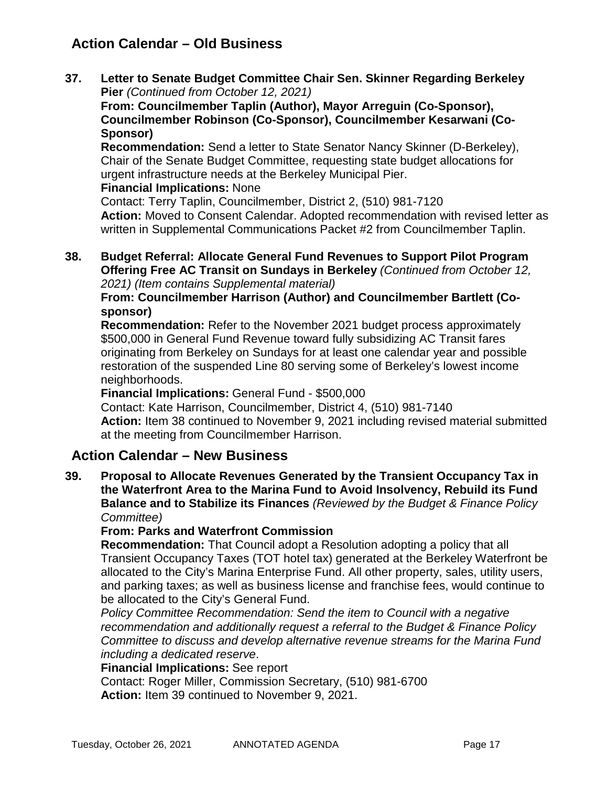## **Action Calendar – Old Business**

**37. Letter to Senate Budget Committee Chair Sen. Skinner Regarding Berkeley Pier** *(Continued from October 12, 2021)*

**From: Councilmember Taplin (Author), Mayor Arreguin (Co-Sponsor), Councilmember Robinson (Co-Sponsor), Councilmember Kesarwani (Co-Sponsor)**

**Recommendation:** Send a letter to State Senator Nancy Skinner (D-Berkeley), Chair of the Senate Budget Committee, requesting state budget allocations for urgent infrastructure needs at the Berkeley Municipal Pier.

## **Financial Implications:** None

Contact: Terry Taplin, Councilmember, District 2, (510) 981-7120 **Action:** Moved to Consent Calendar. Adopted recommendation with revised letter as written in Supplemental Communications Packet #2 from Councilmember Taplin.

#### **38. Budget Referral: Allocate General Fund Revenues to Support Pilot Program Offering Free AC Transit on Sundays in Berkeley** *(Continued from October 12, 2021) (Item contains Supplemental material)*

**From: Councilmember Harrison (Author) and Councilmember Bartlett (Cosponsor)**

**Recommendation:** Refer to the November 2021 budget process approximately \$500,000 in General Fund Revenue toward fully subsidizing AC Transit fares originating from Berkeley on Sundays for at least one calendar year and possible restoration of the suspended Line 80 serving some of Berkeley's lowest income neighborhoods.

## **Financial Implications:** General Fund - \$500,000

Contact: Kate Harrison, Councilmember, District 4, (510) 981-7140 **Action:** Item 38 continued to November 9, 2021 including revised material submitted at the meeting from Councilmember Harrison.

## **Action Calendar – New Business**

**39. Proposal to Allocate Revenues Generated by the Transient Occupancy Tax in the Waterfront Area to the Marina Fund to Avoid Insolvency, Rebuild its Fund Balance and to Stabilize its Finances** *(Reviewed by the Budget & Finance Policy Committee)*

## **From: Parks and Waterfront Commission**

**Recommendation:** That Council adopt a Resolution adopting a policy that all Transient Occupancy Taxes (TOT hotel tax) generated at the Berkeley Waterfront be allocated to the City's Marina Enterprise Fund. All other property, sales, utility users, and parking taxes; as well as business license and franchise fees, would continue to be allocated to the City's General Fund.

*Policy Committee Recommendation: Send the item to Council with a negative recommendation and additionally request a referral to the Budget & Finance Policy Committee to discuss and develop alternative revenue streams for the Marina Fund including a dedicated reserve*.

## **Financial Implications:** See report

Contact: Roger Miller, Commission Secretary, (510) 981-6700 **Action:** Item 39 continued to November 9, 2021.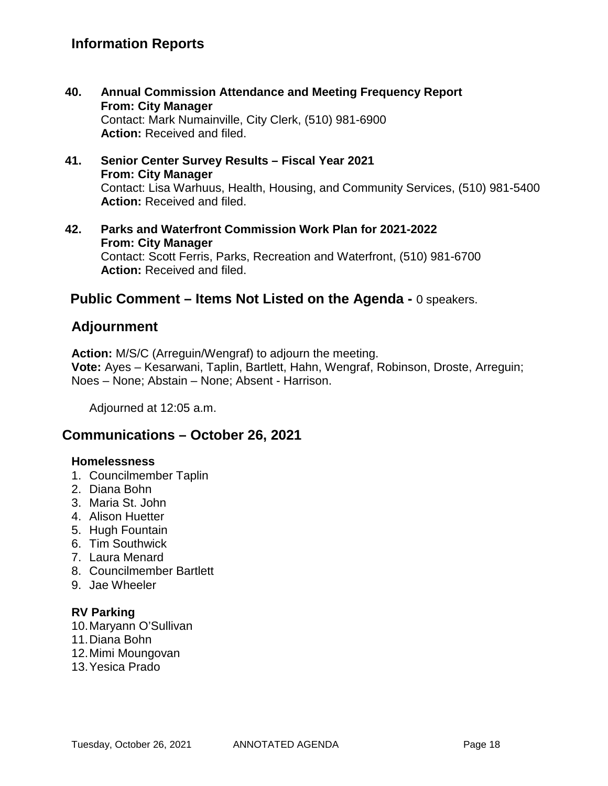- **40. Annual Commission Attendance and Meeting Frequency Report From: City Manager** Contact: Mark Numainville, City Clerk, (510) 981-6900 **Action:** Received and filed.
- **41. Senior Center Survey Results – Fiscal Year 2021 From: City Manager** Contact: Lisa Warhuus, Health, Housing, and Community Services, (510) 981-5400 **Action:** Received and filed.
- **42. Parks and Waterfront Commission Work Plan for 2021-2022 From: City Manager** Contact: Scott Ferris, Parks, Recreation and Waterfront, (510) 981-6700 **Action:** Received and filed.

## **Public Comment – Items Not Listed on the Agenda -** 0 speakers.

## **Adjournment**

**Action:** M/S/C (Arreguin/Wengraf) to adjourn the meeting. **Vote:** Ayes – Kesarwani, Taplin, Bartlett, Hahn, Wengraf, Robinson, Droste, Arreguin; Noes – None; Abstain – None; Absent - Harrison.

Adjourned at 12:05 a.m.

## **Communications – October 26, 2021**

## **Homelessness**

- 1. Councilmember Taplin
- 2. Diana Bohn
- 3. Maria St. John
- 4. Alison Huetter
- 5. Hugh Fountain
- 6. Tim Southwick
- 7. Laura Menard
- 8. Councilmember Bartlett
- 9. Jae Wheeler

## **RV Parking**

- 10.Maryann O'Sullivan
- 11.Diana Bohn
- 12.Mimi Moungovan
- 13.Yesica Prado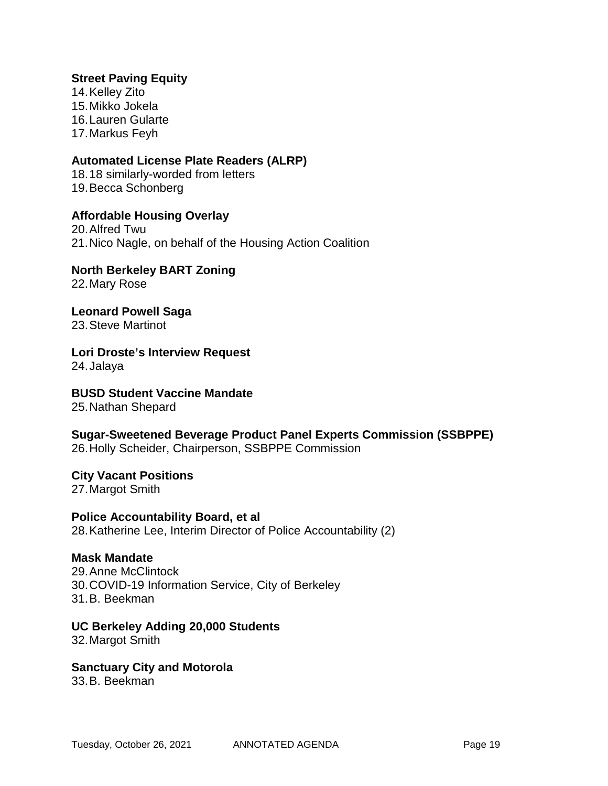#### **Street Paving Equity**

14.Kelley Zito 15.Mikko Jokela 16.Lauren Gularte 17.Markus Feyh

#### **Automated License Plate Readers (ALRP)**

18.18 similarly-worded from letters 19.Becca Schonberg

#### **Affordable Housing Overlay**

20.Alfred Twu 21.Nico Nagle, on behalf of the Housing Action Coalition

**North Berkeley BART Zoning** 22.Mary Rose

**Leonard Powell Saga** 23.Steve Martinot

**Lori Droste's Interview Request** 24.Jalaya

**BUSD Student Vaccine Mandate**

25.Nathan Shepard

# **Sugar-Sweetened Beverage Product Panel Experts Commission (SSBPPE)**

26.Holly Scheider, Chairperson, SSBPPE Commission

**City Vacant Positions** 27.Margot Smith

**Police Accountability Board, et al** 28.Katherine Lee, Interim Director of Police Accountability (2)

#### **Mask Mandate**

29.Anne McClintock 30.COVID-19 Information Service, City of Berkeley 31.B. Beekman

#### **UC Berkeley Adding 20,000 Students**

32.Margot Smith

#### **Sanctuary City and Motorola**

33.B. Beekman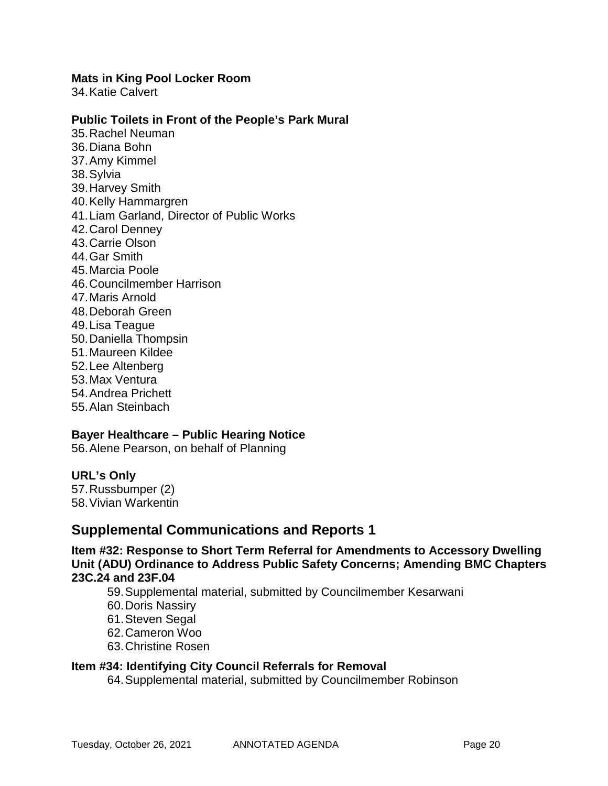#### **Mats in King Pool Locker Room**

34.Katie Calvert

#### **Public Toilets in Front of the People's Park Mural**

35.Rachel Neuman 36.Diana Bohn 37.Amy Kimmel 38.Sylvia 39.Harvey Smith 40.Kelly Hammargren 41.Liam Garland, Director of Public Works 42.Carol Denney 43.Carrie Olson 44.Gar Smith 45.Marcia Poole 46.Councilmember Harrison 47.Maris Arnold 48.Deborah Green 49.Lisa Teague 50.Daniella Thompsin 51.Maureen Kildee 52.Lee Altenberg 53.Max Ventura 54.Andrea Prichett 55.Alan Steinbach

#### **Bayer Healthcare – Public Hearing Notice**

56.Alene Pearson, on behalf of Planning

#### **URL's Only**

57.Russbumper (2) 58.Vivian Warkentin

## **Supplemental Communications and Reports 1**

**Item #32: Response to Short Term Referral for Amendments to Accessory Dwelling Unit (ADU) Ordinance to Address Public Safety Concerns; Amending BMC Chapters 23C.24 and 23F.04**

59.Supplemental material, submitted by Councilmember Kesarwani

- 60.Doris Nassiry
- 61.Steven Segal
- 62.Cameron Woo
- 63.Christine Rosen

## **Item #34: Identifying City Council Referrals for Removal**

64.Supplemental material, submitted by Councilmember Robinson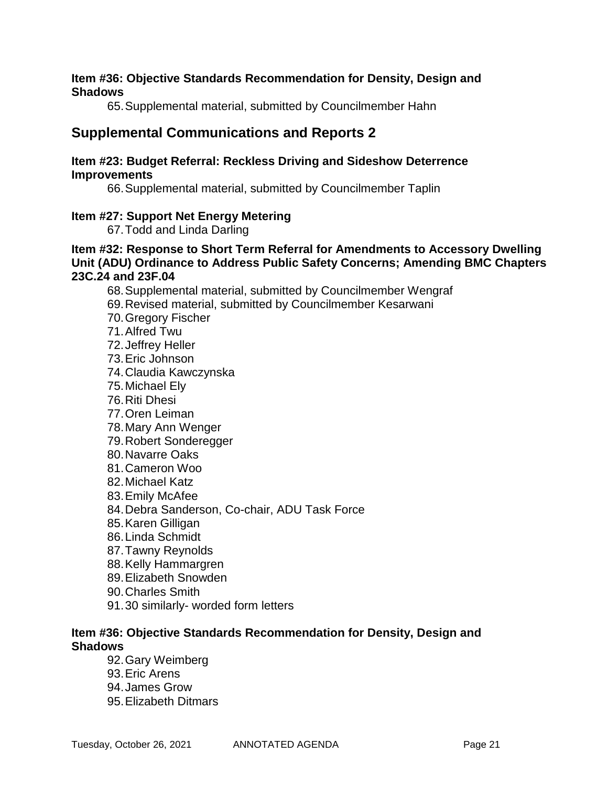#### **Item #36: Objective Standards Recommendation for Density, Design and Shadows**

65.Supplemental material, submitted by Councilmember Hahn

## **Supplemental Communications and Reports 2**

#### **Item #23: Budget Referral: Reckless Driving and Sideshow Deterrence Improvements**

66.Supplemental material, submitted by Councilmember Taplin

## **Item #27: Support Net Energy Metering**

67.Todd and Linda Darling

## **Item #32: Response to Short Term Referral for Amendments to Accessory Dwelling Unit (ADU) Ordinance to Address Public Safety Concerns; Amending BMC Chapters 23C.24 and 23F.04**

68.Supplemental material, submitted by Councilmember Wengraf

- 69.Revised material, submitted by Councilmember Kesarwani
- 70.Gregory Fischer
- 71.Alfred Twu
- 72.Jeffrey Heller
- 73.Eric Johnson
- 74.Claudia Kawczynska
- 75.Michael Ely
- 76.Riti Dhesi
- 77.Oren Leiman
- 78.Mary Ann Wenger
- 79.Robert Sonderegger
- 80.Navarre Oaks
- 81.Cameron Woo
- 82.Michael Katz
- 83.Emily McAfee
- 84.Debra Sanderson, Co-chair, ADU Task Force
- 85.Karen Gilligan
- 86.Linda Schmidt
- 87.Tawny Reynolds
- 88.Kelly Hammargren
- 89.Elizabeth Snowden
- 90.Charles Smith
- 91.30 similarly- worded form letters

## **Item #36: Objective Standards Recommendation for Density, Design and Shadows**

- 92.Gary Weimberg
- 93.Eric Arens
- 94.James Grow
- 95.Elizabeth Ditmars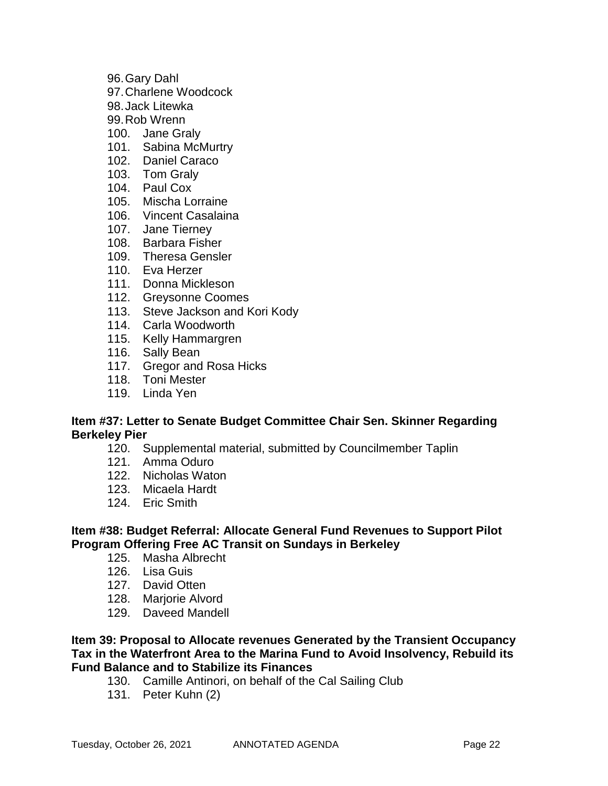- 96.Gary Dahl
- 97.Charlene Woodcock
- 98.Jack Litewka
- 99.Rob Wrenn
- 100. Jane Graly
- 101. Sabina McMurtry
- 102. Daniel Caraco
- 103. Tom Graly
- 104. Paul Cox
- 105. Mischa Lorraine
- 106. Vincent Casalaina
- 107. Jane Tierney
- 108. Barbara Fisher
- 109. Theresa Gensler
- 110. Eva Herzer
- 111. Donna Mickleson
- 112. Greysonne Coomes
- 113. Steve Jackson and Kori Kody
- 114. Carla Woodworth
- 115. Kelly Hammargren
- 116. Sally Bean
- 117. Gregor and Rosa Hicks
- 118. Toni Mester
- 119. Linda Yen

## **Item #37: Letter to Senate Budget Committee Chair Sen. Skinner Regarding Berkeley Pier**

- 120. Supplemental material, submitted by Councilmember Taplin
- 121. Amma Oduro
- 122. Nicholas Waton
- 123. Micaela Hardt
- 124. Eric Smith

## **Item #38: Budget Referral: Allocate General Fund Revenues to Support Pilot Program Offering Free AC Transit on Sundays in Berkeley**

- 125. Masha Albrecht
- 126. Lisa Guis
- 127. David Otten
- 128. Marjorie Alvord
- 129. Daveed Mandell

### **Item 39: Proposal to Allocate revenues Generated by the Transient Occupancy Tax in the Waterfront Area to the Marina Fund to Avoid Insolvency, Rebuild its Fund Balance and to Stabilize its Finances**

- 130. Camille Antinori, on behalf of the Cal Sailing Club
- 131. Peter Kuhn (2)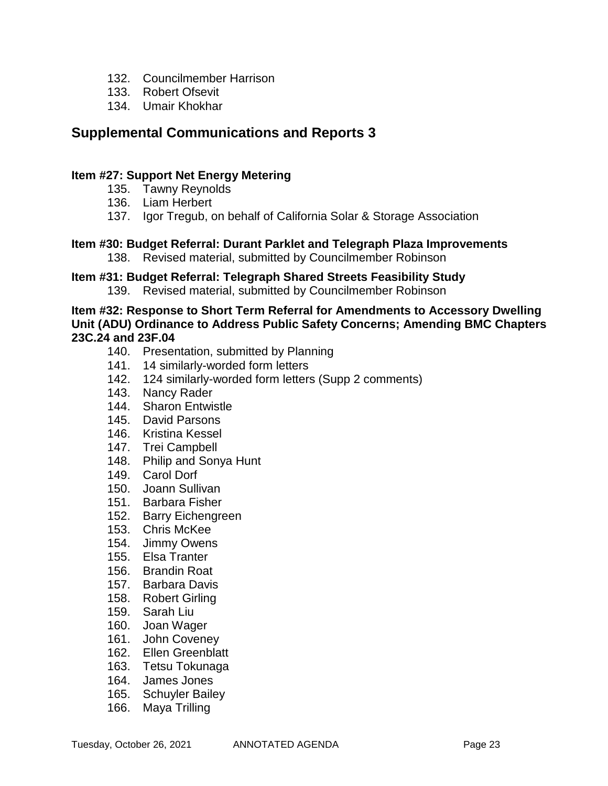- 132. Councilmember Harrison
- 133. Robert Ofsevit
- 134. Umair Khokhar

## **Supplemental Communications and Reports 3**

## **Item #27: Support Net Energy Metering**

- 135. Tawny Reynolds
- 136. Liam Herbert
- 137. Igor Tregub, on behalf of California Solar & Storage Association

## **Item #30: Budget Referral: Durant Parklet and Telegraph Plaza Improvements**

138. Revised material, submitted by Councilmember Robinson

## **Item #31: Budget Referral: Telegraph Shared Streets Feasibility Study**

139. Revised material, submitted by Councilmember Robinson

**Item #32: Response to Short Term Referral for Amendments to Accessory Dwelling Unit (ADU) Ordinance to Address Public Safety Concerns; Amending BMC Chapters 23C.24 and 23F.04**

- 140. Presentation, submitted by Planning
- 141. 14 similarly-worded form letters
- 142. 124 similarly-worded form letters (Supp 2 comments)
- 143. Nancy Rader
- 144. Sharon Entwistle
- 145. David Parsons
- 146. Kristina Kessel
- 147. Trei Campbell
- 148. Philip and Sonya Hunt
- 149. Carol Dorf
- 150. Joann Sullivan
- 151. Barbara Fisher
- 152. Barry Eichengreen
- 153. Chris McKee
- 154. Jimmy Owens
- 155. Elsa Tranter
- 156. Brandin Roat
- 157. Barbara Davis
- 158. Robert Girling
- 159. Sarah Liu
- 160. Joan Wager
- 161. John Coveney
- 162. Ellen Greenblatt
- 163. Tetsu Tokunaga
- 164. James Jones
- 165. Schuyler Bailey
- 166. Maya Trilling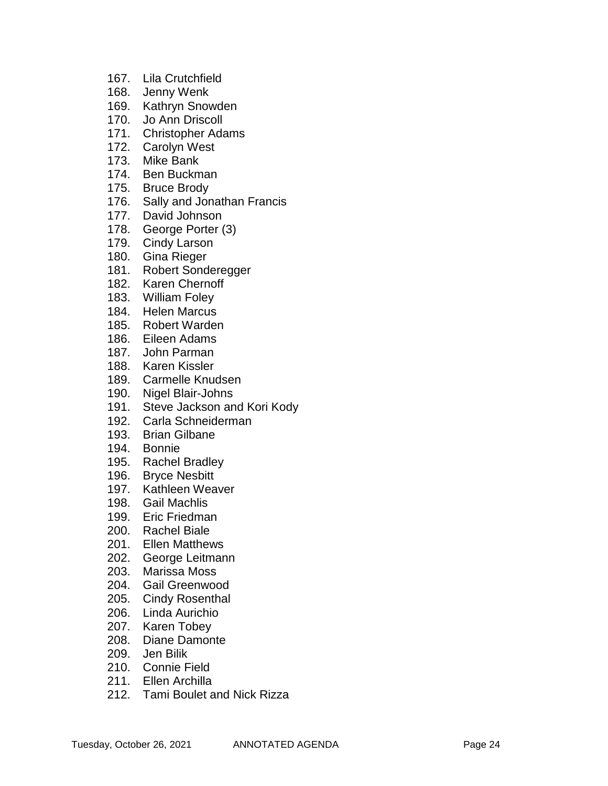- 167. Lila Crutchfield
- 168. Jenny Wenk
- 169. Kathryn Snowden
- 170. Jo Ann Driscoll
- 171. Christopher Adams
- 172. Carolyn West
- 173. Mike Bank
- 174. Ben Buckman
- 175. Bruce Brody
- 176. Sally and Jonathan Francis
- 177. David Johnson
- 178. George Porter (3)
- 179. Cindy Larson
- 180. Gina Rieger
- 181. Robert Sonderegger
- 182. Karen Chernoff
- 183. William Foley
- 184. Helen Marcus
- 185. Robert Warden
- 186. Eileen Adams
- 187. John Parman
- 188. Karen Kissler
- 189. Carmelle Knudsen
- 190. Nigel Blair-Johns
- 191. Steve Jackson and Kori Kody
- 192. Carla Schneiderman
- 193. Brian Gilbane
- 194. Bonnie
- 195. Rachel Bradley
- 196. Bryce Nesbitt
- 197. Kathleen Weaver
- 198. Gail Machlis
- 199. Eric Friedman
- 200. Rachel Biale
- 201. Ellen Matthews
- 202. George Leitmann
- 203. Marissa Moss
- 204. Gail Greenwood
- 205. Cindy Rosenthal
- 206. Linda Aurichio
- 207. Karen Tobey
- 208. Diane Damonte
- 209. Jen Bilik
- 210. Connie Field
- 211. Ellen Archilla
- 212. Tami Boulet and Nick Rizza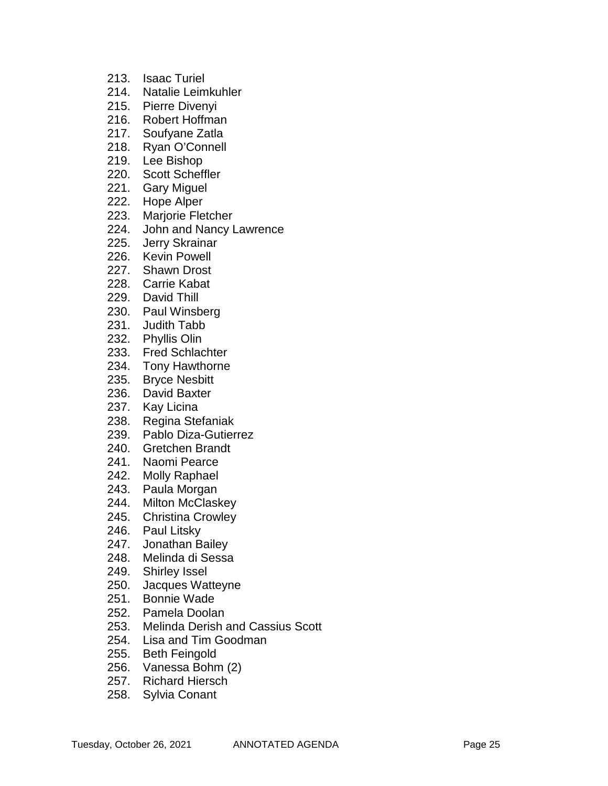- 213. Isaac Turiel
- 214. Natalie Leimkuhler
- 215. Pierre Divenyi
- 216. Robert Hoffman
- 217. Soufyane Zatla
- 218. Ryan O'Connell
- 219. Lee Bishop
- 220. Scott Scheffler
- 221. Gary Miguel
- 222. Hope Alper
- 223. Marjorie Fletcher
- 224. John and Nancy Lawrence<br>225. Jerry Skrainar
- Jerry Skrainar
- 226. Kevin Powell
- 227. Shawn Drost
- 228. Carrie Kabat
- 229. David Thill
- 230. Paul Winsberg
- 231. Judith Tabb
- 232. Phyllis Olin
- 233. Fred Schlachter
- 234. Tony Hawthorne
- 235. Bryce Nesbitt
- 236. David Baxter
- 237. Kay Licina
- 238. Regina Stefaniak
- 239. Pablo Diza -Gutierrez
- 240. Gretchen Brandt
- 241. Naomi Pearce
- 242. Molly Raphael
- 243. Paula Morgan
- 244. Milton McClaskey
- 245. Christina Crowley
- 246. Paul Litsky
- 247. Jonathan Bailey
- 248. Melinda di Sessa
- 249. Shirley Issel
- 250. Jacques Watteyne
- 251. Bonnie Wade
- 252. Pamela Doolan
- 253. Melinda Derish and Cassius Scott
- 254. Lisa and Tim Goodman
- 255. Beth Feingold
- 256. Vanessa Bohm (2)
- 257. Richard Hiersch
- 258. Sylvia Conant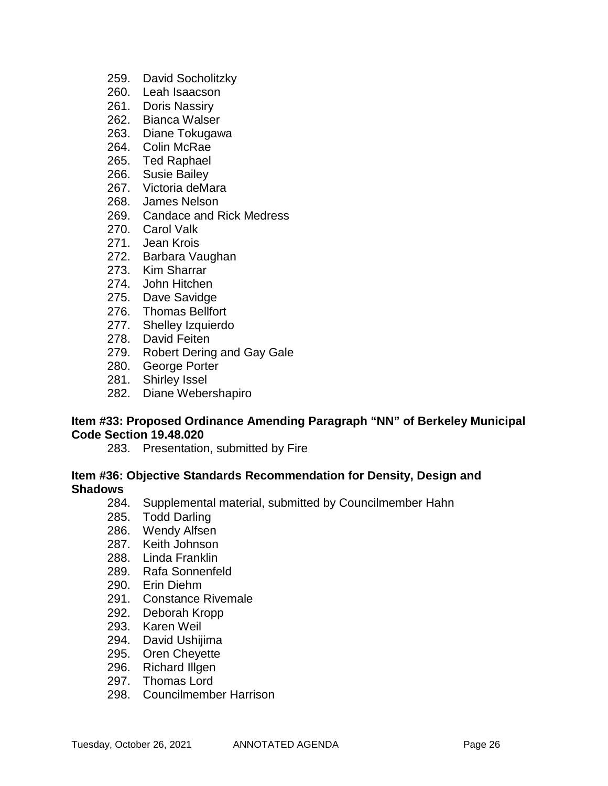- 259. David Socholitzky
- 260. Leah Isaacson
- 261. Doris Nassiry
- 262. Bianca Walser
- 263. Diane Tokugawa
- 264. Colin McRae
- 265. Ted Raphael
- 266. Susie Bailey
- 267. Victoria deMara
- 268. James Nelson
- 269. Candace and Rick Medress
- 270. Carol Valk
- 271. Jean Krois
- 272. Barbara Vaughan
- 273. Kim Sharrar
- 274. John Hitchen
- 275. Dave Savidge
- 276. Thomas Bellfort
- 277. Shelley Izquierdo
- 278. David Feiten
- 279. Robert Dering and Gay Gale
- 280. George Porter
- 281. Shirley Issel
- 282. Diane Webershapiro

#### **Item #33: Proposed Ordinance Amending Paragraph "NN" of Berkeley Municipal Code Section 19.48.020**

283. Presentation, submitted by Fire

#### **Item #36: Objective Standards Recommendation for Density, Design and Shadows**

- 284. Supplemental material, submitted by Councilmember Hahn
- 285. Todd Darling
- 286. Wendy Alfsen
- 287. Keith Johnson
- 288. Linda Franklin
- 289. Rafa Sonnenfeld
- 290. Erin Diehm
- 291. Constance Rivemale
- 292. Deborah Kropp
- 293. Karen Weil
- 294. David Ushijima
- 295. Oren Cheyette
- 296. Richard Illgen
- 297. Thomas Lord
- 298. Councilmember Harrison